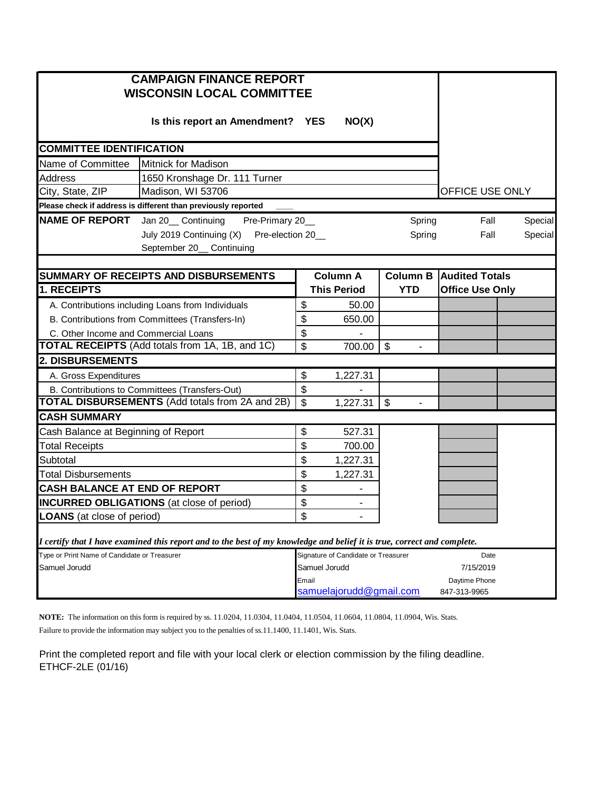|                                              | <b>CAMPAIGN FINANCE REPORT</b><br><b>WISCONSIN LOCAL COMMITTEE</b>                                                      |                           |                                     |                           |                        |         |
|----------------------------------------------|-------------------------------------------------------------------------------------------------------------------------|---------------------------|-------------------------------------|---------------------------|------------------------|---------|
|                                              | Is this report an Amendment? YES                                                                                        |                           | NO(X)                               |                           |                        |         |
| <b>COMMITTEE IDENTIFICATION</b>              |                                                                                                                         |                           |                                     |                           |                        |         |
| Name of Committee                            | <b>Mitnick for Madison</b>                                                                                              |                           |                                     |                           |                        |         |
| Address                                      | 1650 Kronshage Dr. 111 Turner                                                                                           |                           |                                     |                           |                        |         |
| City, State, ZIP                             | Madison, WI 53706                                                                                                       | OFFICE USE ONLY           |                                     |                           |                        |         |
|                                              | Please check if address is different than previously reported                                                           |                           |                                     |                           |                        |         |
| <b>NAME OF REPORT</b>                        | Jan 20__ Continuing<br>Pre-Primary 20_                                                                                  |                           |                                     | Spring                    | Fall                   | Special |
|                                              | July 2019 Continuing (X) Pre-election 20_                                                                               |                           |                                     | Spring                    | Fall                   | Special |
|                                              | September 20__ Continuing                                                                                               |                           |                                     |                           |                        |         |
|                                              |                                                                                                                         |                           |                                     |                           |                        |         |
|                                              | SUMMARY OF RECEIPTS AND DISBURSEMENTS                                                                                   |                           | <b>Column A</b>                     | <b>Column B</b>           | <b>Audited Totals</b>  |         |
| 1. RECEIPTS                                  |                                                                                                                         |                           | <b>This Period</b>                  | <b>YTD</b>                | <b>Office Use Only</b> |         |
|                                              | A. Contributions including Loans from Individuals                                                                       | \$                        | 50.00                               |                           |                        |         |
|                                              | B. Contributions from Committees (Transfers-In)                                                                         | \$                        | 650.00                              |                           |                        |         |
| C. Other Income and Commercial Loans         |                                                                                                                         | \$                        |                                     |                           |                        |         |
|                                              | TOTAL RECEIPTS (Add totals from 1A, 1B, and 1C)                                                                         | \$                        | 700.00                              | $\boldsymbol{\mathsf{S}}$ |                        |         |
| 2. DISBURSEMENTS                             |                                                                                                                         |                           |                                     |                           |                        |         |
| A. Gross Expenditures                        |                                                                                                                         | \$                        | 1,227.31                            |                           |                        |         |
|                                              | B. Contributions to Committees (Transfers-Out)                                                                          | \$                        |                                     |                           |                        |         |
|                                              | <b>TOTAL DISBURSEMENTS (Add totals from 2A and 2B)</b>                                                                  | $\boldsymbol{\mathsf{S}}$ | 1,227.31                            | $\mathfrak{S}$            |                        |         |
| <b>CASH SUMMARY</b>                          |                                                                                                                         |                           |                                     |                           |                        |         |
| Cash Balance at Beginning of Report          |                                                                                                                         | \$                        | 527.31                              |                           |                        |         |
| <b>Total Receipts</b>                        |                                                                                                                         | \$                        | 700.00                              |                           |                        |         |
| Subtotal                                     |                                                                                                                         | \$                        | 1,227.31                            |                           |                        |         |
| <b>Total Disbursements</b>                   |                                                                                                                         | \$                        | 1,227.31                            |                           |                        |         |
| <b>CASH BALANCE AT END OF REPORT</b>         |                                                                                                                         | \$                        |                                     |                           |                        |         |
|                                              | <b>INCURRED OBLIGATIONS</b> (at close of period)                                                                        | \$                        | ۰                                   |                           |                        |         |
| <b>LOANS</b> (at close of period)            |                                                                                                                         |                           |                                     |                           |                        |         |
|                                              | I certify that I have examined this report and to the best of my knowledge and belief it is true, correct and complete. | \$                        |                                     |                           |                        |         |
| Type or Print Name of Candidate or Treasurer |                                                                                                                         |                           | Signature of Candidate or Treasurer |                           | Date                   |         |
| Samuel Jorudd                                |                                                                                                                         | Samuel Jorudd             |                                     |                           | 7/15/2019              |         |
|                                              |                                                                                                                         | Email                     |                                     |                           | Daytime Phone          |         |
|                                              |                                                                                                                         |                           | samuelajorudd@gmail.com             |                           | 847-313-9965           |         |

**NOTE:** The information on this form is required by ss. 11.0204, 11.0304, 11.0404, 11.0504, 11.0604, 11.0804, 11.0904, Wis. Stats. Failure to provide the information may subject you to the penalties of ss.11.1400, 11.1401, Wis. Stats.

Print the completed report and file with your local clerk or election commission by the filing deadline. ETHCF-2LE (01/16)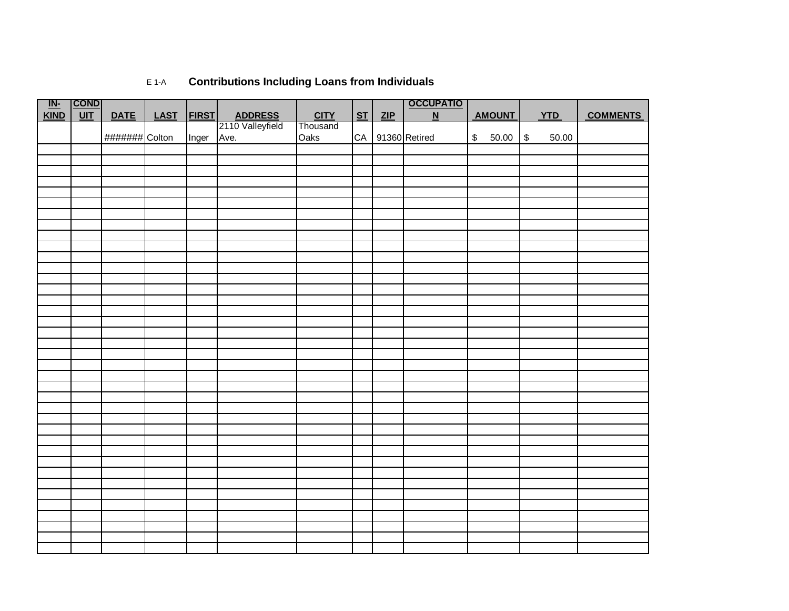| <u>IN-</u> | $ $ COND $ $ |                |             |              |         |             |                |     | <b>OCCUPATIO</b>         |               |               |             |            |                 |
|------------|--------------|----------------|-------------|--------------|---------|-------------|----------------|-----|--------------------------|---------------|---------------|-------------|------------|-----------------|
| KIND       | $UIT$        | <b>DATE</b>    | <b>LAST</b> | <b>FIRST</b> | ADDRESS | <b>CITY</b> | S <sub>T</sub> | ZIP | $\underline{\mathsf{N}}$ |               | <b>AMOUNT</b> |             | <b>YTD</b> | <b>COMMENTS</b> |
|            |              |                |             |              |         | Thousand    |                |     |                          |               |               |             |            |                 |
|            |              | ####### Colton |             | Inger        | Ave.    | Oaks        |                |     | CA 91360 Retired         | $\mathsf{\$}$ | 50.00         | $\mathbb S$ | 50.00      |                 |
|            |              |                |             |              |         |             |                |     |                          |               |               |             |            |                 |
|            |              |                |             |              |         |             |                |     |                          |               |               |             |            |                 |
|            |              |                |             |              |         |             |                |     |                          |               |               |             |            |                 |
|            |              |                |             |              |         |             |                |     |                          |               |               |             |            |                 |
|            |              |                |             |              |         |             |                |     |                          |               |               |             |            |                 |
|            |              |                |             |              |         |             |                |     |                          |               |               |             |            |                 |
|            |              |                |             |              |         |             |                |     |                          |               |               |             |            |                 |
|            |              |                |             |              |         |             |                |     |                          |               |               |             |            |                 |
|            |              |                |             |              |         |             |                |     |                          |               |               |             |            |                 |
|            |              |                |             |              |         |             |                |     |                          |               |               |             |            |                 |
|            |              |                |             |              |         |             |                |     |                          |               |               |             |            |                 |
|            |              |                |             |              |         |             |                |     |                          |               |               |             |            |                 |
|            |              |                |             |              |         |             |                |     |                          |               |               |             |            |                 |
|            |              |                |             |              |         |             |                |     |                          |               |               |             |            |                 |
|            |              |                |             |              |         |             |                |     |                          |               |               |             |            |                 |
|            |              |                |             |              |         |             |                |     |                          |               |               |             |            |                 |
|            |              |                |             |              |         |             |                |     |                          |               |               |             |            |                 |
|            |              |                |             |              |         |             |                |     |                          |               |               |             |            |                 |
|            |              |                |             |              |         |             |                |     |                          |               |               |             |            |                 |
|            |              |                |             |              |         |             |                |     |                          |               |               |             |            |                 |
|            |              |                |             |              |         |             |                |     |                          |               |               |             |            |                 |
|            |              |                |             |              |         |             |                |     |                          |               |               |             |            |                 |
|            |              |                |             |              |         |             |                |     |                          |               |               |             |            |                 |
|            |              |                |             |              |         |             |                |     |                          |               |               |             |            |                 |
|            |              |                |             |              |         |             |                |     |                          |               |               |             |            |                 |
|            |              |                |             |              |         |             |                |     |                          |               |               |             |            |                 |
|            |              |                |             |              |         |             |                |     |                          |               |               |             |            |                 |
|            |              |                |             |              |         |             |                |     |                          |               |               |             |            |                 |
|            |              |                |             |              |         |             |                |     |                          |               |               |             |            |                 |
|            |              |                |             |              |         |             |                |     |                          |               |               |             |            |                 |
|            |              |                |             |              |         |             |                |     |                          |               |               |             |            |                 |
|            |              |                |             |              |         |             |                |     |                          |               |               |             |            |                 |
|            |              |                |             |              |         |             |                |     |                          |               |               |             |            |                 |
|            |              |                |             |              |         |             |                |     |                          |               |               |             |            |                 |
|            |              |                |             |              |         |             |                |     |                          |               |               |             |            |                 |
|            |              |                |             |              |         |             |                |     |                          |               |               |             |            |                 |
|            |              |                |             |              |         |             |                |     |                          |               |               |             |            |                 |
|            |              |                |             |              |         |             |                |     |                          |               |               |             |            |                 |

## E 1-A **Contributions Including Loans from Individuals**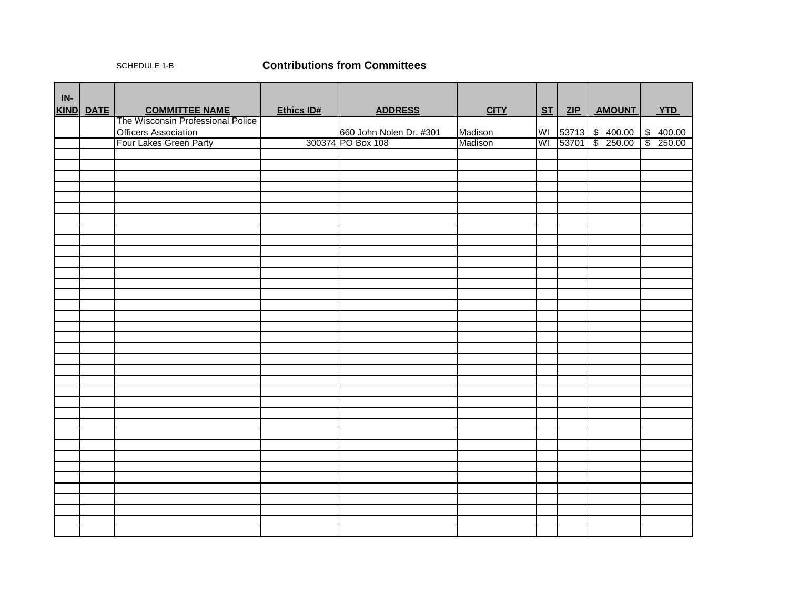## SCHEDULE 1-B **Contributions from Committees**

| $\underline{\text{IN-}}$ |           |                                   |                   |                         |             |    |     |                              |                      |
|--------------------------|-----------|-----------------------------------|-------------------|-------------------------|-------------|----|-----|------------------------------|----------------------|
|                          | KIND DATE | <b>COMMITTEE NAME</b>             | <b>Ethics ID#</b> | <b>ADDRESS</b>          | <b>CITY</b> | ST | ZIP | <b>AMOUNT</b>                | <b>YTD</b>           |
|                          |           | The Wisconsin Professional Police |                   |                         |             |    |     |                              |                      |
|                          |           | <b>Officers Association</b>       |                   | 660 John Nolen Dr. #301 | Madison     |    |     | WI 53713 \$ 400.00 \$ 400.00 |                      |
|                          |           | Four Lakes Green Party            |                   | 300374 PO Box 108       | Madison     |    |     | WI 53701 \$ 250.00           | $\frac{1}{8}$ 250.00 |
|                          |           |                                   |                   |                         |             |    |     |                              |                      |
|                          |           |                                   |                   |                         |             |    |     |                              |                      |
|                          |           |                                   |                   |                         |             |    |     |                              |                      |
|                          |           |                                   |                   |                         |             |    |     |                              |                      |
|                          |           |                                   |                   |                         |             |    |     |                              |                      |
|                          |           |                                   |                   |                         |             |    |     |                              |                      |
|                          |           |                                   |                   |                         |             |    |     |                              |                      |
|                          |           |                                   |                   |                         |             |    |     |                              |                      |
|                          |           |                                   |                   |                         |             |    |     |                              |                      |
|                          |           |                                   |                   |                         |             |    |     |                              |                      |
|                          |           |                                   |                   |                         |             |    |     |                              |                      |
|                          |           |                                   |                   |                         |             |    |     |                              |                      |
|                          |           |                                   |                   |                         |             |    |     |                              |                      |
|                          |           |                                   |                   |                         |             |    |     |                              |                      |
|                          |           |                                   |                   |                         |             |    |     |                              |                      |
|                          |           |                                   |                   |                         |             |    |     |                              |                      |
|                          |           |                                   |                   |                         |             |    |     |                              |                      |
|                          |           |                                   |                   |                         |             |    |     |                              |                      |
|                          |           |                                   |                   |                         |             |    |     |                              |                      |
|                          |           |                                   |                   |                         |             |    |     |                              |                      |
|                          |           |                                   |                   |                         |             |    |     |                              |                      |
|                          |           |                                   |                   |                         |             |    |     |                              |                      |
|                          |           |                                   |                   |                         |             |    |     |                              |                      |
|                          |           |                                   |                   |                         |             |    |     |                              |                      |
|                          |           |                                   |                   |                         |             |    |     |                              |                      |
|                          |           |                                   |                   |                         |             |    |     |                              |                      |
|                          |           |                                   |                   |                         |             |    |     |                              |                      |
|                          |           |                                   |                   |                         |             |    |     |                              |                      |
|                          |           |                                   |                   |                         |             |    |     |                              |                      |
|                          |           |                                   |                   |                         |             |    |     |                              |                      |
|                          |           |                                   |                   |                         |             |    |     |                              |                      |
|                          |           |                                   |                   |                         |             |    |     |                              |                      |
|                          |           |                                   |                   |                         |             |    |     |                              |                      |
|                          |           |                                   |                   |                         |             |    |     |                              |                      |
|                          |           |                                   |                   |                         |             |    |     |                              |                      |
|                          |           |                                   |                   |                         |             |    |     |                              |                      |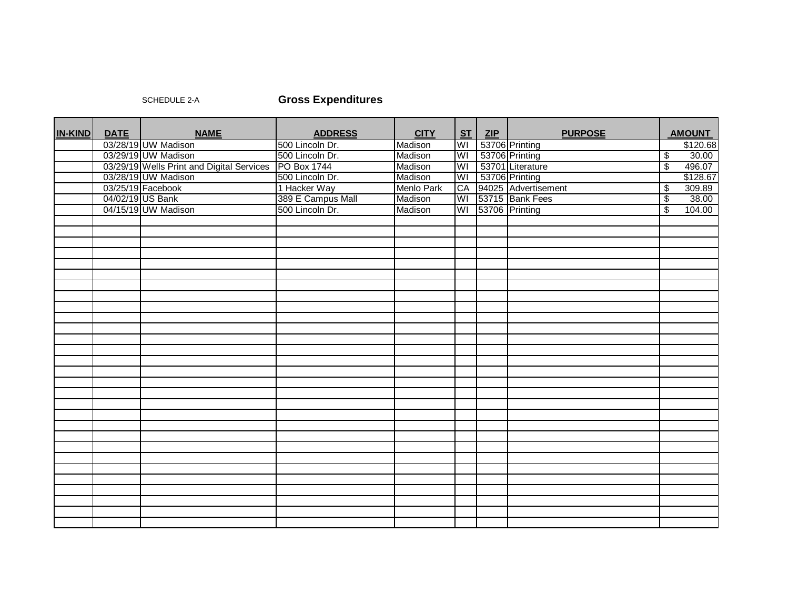## SCHEDULE 2-A **Gross Expenditures**

| <b>IN-KIND</b> | <b>DATE</b> | <b>NAME</b>                                           | <b>ADDRESS</b>    | <b>CITY</b> | ST | ZIP | <b>PURPOSE</b>      | <b>AMOUNT</b>                     |
|----------------|-------------|-------------------------------------------------------|-------------------|-------------|----|-----|---------------------|-----------------------------------|
|                |             | 03/28/19 UW Madison                                   | 500 Lincoln Dr.   | Madison     | WI |     | 53706 Printing      | \$120.68                          |
|                |             | 03/29/19 UW Madison                                   | 500 Lincoln Dr.   | Madison     | WI |     | 53706 Printing      | $\sqrt[6]{\frac{1}{2}}$<br>30.00  |
|                |             | 03/29/19 Wells Print and Digital Services PO Box 1744 |                   | Madison     | WI |     | 53701 Literature    | $\sqrt{3}$<br>496.07              |
|                |             | 03/28/19 UW Madison                                   | 500 Lincoln Dr.   | Madison     | WI |     | 53706 Printing      | \$128.67                          |
|                |             | 03/25/19 Facebook                                     | 1 Hacker Way      | Menlo Park  | CA |     | 94025 Advertisement | 309.89<br>$\sqrt{2}$              |
|                |             | 04/02/19 US Bank                                      | 389 E Campus Mall | Madison     | WI |     | 53715 Bank Fees     | $\overline{\mathcal{E}}$<br>38.00 |
|                |             | 04/15/19 UW Madison                                   | 500 Lincoln Dr.   | Madison     | WI |     | 53706 Printing      | $\overline{\$}$<br>104.00         |
|                |             |                                                       |                   |             |    |     |                     |                                   |
|                |             |                                                       |                   |             |    |     |                     |                                   |
|                |             |                                                       |                   |             |    |     |                     |                                   |
|                |             |                                                       |                   |             |    |     |                     |                                   |
|                |             |                                                       |                   |             |    |     |                     |                                   |
|                |             |                                                       |                   |             |    |     |                     |                                   |
|                |             |                                                       |                   |             |    |     |                     |                                   |
|                |             |                                                       |                   |             |    |     |                     |                                   |
|                |             |                                                       |                   |             |    |     |                     |                                   |
|                |             |                                                       |                   |             |    |     |                     |                                   |
|                |             |                                                       |                   |             |    |     |                     |                                   |
|                |             |                                                       |                   |             |    |     |                     |                                   |
|                |             |                                                       |                   |             |    |     |                     |                                   |
|                |             |                                                       |                   |             |    |     |                     |                                   |
|                |             |                                                       |                   |             |    |     |                     |                                   |
|                |             |                                                       |                   |             |    |     |                     |                                   |
|                |             |                                                       |                   |             |    |     |                     |                                   |
|                |             |                                                       |                   |             |    |     |                     |                                   |
|                |             |                                                       |                   |             |    |     |                     |                                   |
|                |             |                                                       |                   |             |    |     |                     |                                   |
|                |             |                                                       |                   |             |    |     |                     |                                   |
|                |             |                                                       |                   |             |    |     |                     |                                   |
|                |             |                                                       |                   |             |    |     |                     |                                   |
|                |             |                                                       |                   |             |    |     |                     |                                   |
|                |             |                                                       |                   |             |    |     |                     |                                   |
|                |             |                                                       |                   |             |    |     |                     |                                   |
|                |             |                                                       |                   |             |    |     |                     |                                   |
|                |             |                                                       |                   |             |    |     |                     |                                   |